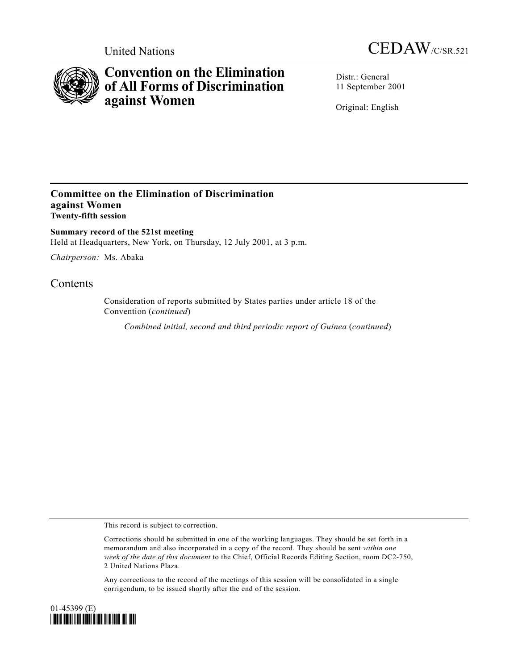



# **Convention on the Elimination of All Forms of Discrimination against Women**

Distr.: General 11 September 2001

Original: English

### **Committee on the Elimination of Discrimination against Women Twenty-fifth session**

**Summary record of the 521st meeting** Held at Headquarters, New York, on Thursday, 12 July 2001, at 3 p.m.

*Chairperson:* Ms. Abaka

## **Contents**

Consideration of reports submitted by States parties under article 18 of the Convention (*continued*)

*Combined initial, second and third periodic report of Guinea* (*continued*)

This record is subject to correction.

Corrections should be submitted in one of the working languages. They should be set forth in a memorandum and also incorporated in a copy of the record. They should be sent *within one week of the date of this document* to the Chief, Official Records Editing Section, room DC2-750, 2 United Nations Plaza.

Any corrections to the record of the meetings of this session will be consolidated in a single corrigendum, to be issued shortly after the end of the session.

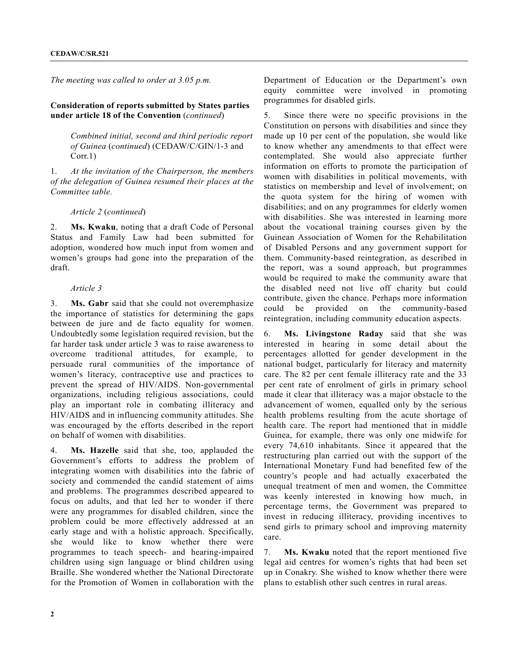*The meeting was called to order at 3.05 p.m.*

#### **Consideration of reports submitted by States parties under article 18 of the Convention** (*continued*)

*Combined initial, second and third periodic report of Guinea* (*continued*) (CEDAW/C/GIN/1-3 and Corr.1)

1. *At the invitation of the Chairperson, the members of the delegation of Guinea resumed their places at the Committee table.*

*Article 2* (*continued*)

2. **Ms. Kwaku**, noting that a draft Code of Personal Status and Family Law had been submitted for adoption, wondered how much input from women and women's groups had gone into the preparation of the draft.

#### *Article 3*

3. **Ms. Gabr** said that she could not overemphasize the importance of statistics for determining the gaps between de jure and de facto equality for women. Undoubtedly some legislation required revision, but the far harder task under article 3 was to raise awareness to overcome traditional attitudes, for example, to persuade rural communities of the importance of women's literacy, contraceptive use and practices to prevent the spread of HIV/AIDS. Non-governmental organizations, including religious associations, could play an important role in combating illiteracy and HIV/AIDS and in influencing community attitudes. She was encouraged by the efforts described in the report on behalf of women with disabilities.

4. **Ms. Hazelle** said that she, too, applauded the Government's efforts to address the problem of integrating women with disabilities into the fabric of society and commended the candid statement of aims and problems. The programmes described appeared to focus on adults, and that led her to wonder if there were any programmes for disabled children, since the problem could be more effectively addressed at an early stage and with a holistic approach. Specifically, she would like to know whether there were programmes to teach speech- and hearing-impaired children using sign language or blind children using Braille. She wondered whether the National Directorate for the Promotion of Women in collaboration with the

Department of Education or the Department's own equity committee were involved in promoting programmes for disabled girls.

5. Since there were no specific provisions in the Constitution on persons with disabilities and since they made up 10 per cent of the population, she would like to know whether any amendments to that effect were contemplated. She would also appreciate further information on efforts to promote the participation of women with disabilities in political movements, with statistics on membership and level of involvement; on the quota system for the hiring of women with disabilities; and on any programmes for elderly women with disabilities. She was interested in learning more about the vocational training courses given by the Guinean Association of Women for the Rehabilitation of Disabled Persons and any government support for them. Community-based reintegration, as described in the report, was a sound approach, but programmes would be required to make the community aware that the disabled need not live off charity but could contribute, given the chance. Perhaps more information could be provided on the community-based reintegration, including community education aspects.

6. **Ms. Livingstone Raday** said that she was interested in hearing in some detail about the percentages allotted for gender development in the national budget, particularly for literacy and maternity care. The 82 per cent female illiteracy rate and the 33 per cent rate of enrolment of girls in primary school made it clear that illiteracy was a major obstacle to the advancement of women, equalled only by the serious health problems resulting from the acute shortage of health care. The report had mentioned that in middle Guinea, for example, there was only one midwife for every 74,610 inhabitants. Since it appeared that the restructuring plan carried out with the support of the International Monetary Fund had benefited few of the country's people and had actually exacerbated the unequal treatment of men and women, the Committee was keenly interested in knowing how much, in percentage terms, the Government was prepared to invest in reducing illiteracy, providing incentives to send girls to primary school and improving maternity care.

7. **Ms. Kwaku** noted that the report mentioned five legal aid centres for women's rights that had been set up in Conakry. She wished to know whether there were plans to establish other such centres in rural areas.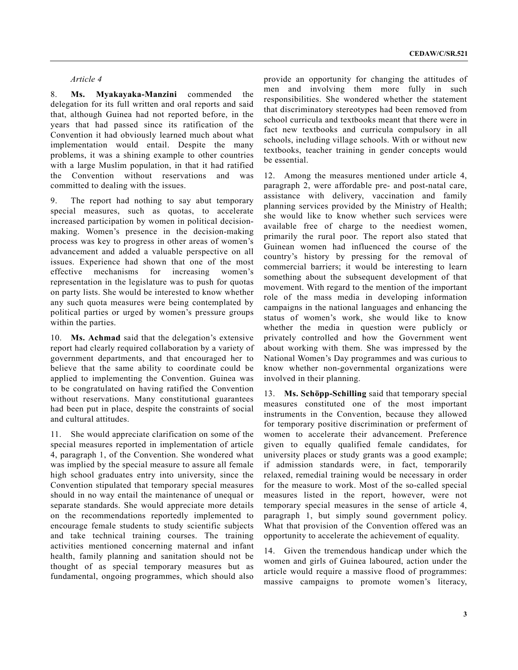#### *Article 4*

8. **Ms. Myakayaka-Manzini** commended the delegation for its full written and oral reports and said that, although Guinea had not reported before, in the years that had passed since its ratification of the Convention it had obviously learned much about what implementation would entail. Despite the many problems, it was a shining example to other countries with a large Muslim population, in that it had ratified the Convention without reservations and was committed to dealing with the issues.

9. The report had nothing to say abut temporary special measures, such as quotas, to accelerate increased participation by women in political decisionmaking. Women's presence in the decision-making process was key to progress in other areas of women's advancement and added a valuable perspective on all issues. Experience had shown that one of the most effective mechanisms for increasing women's representation in the legislature was to push for quotas on party lists. She would be interested to know whether any such quota measures were being contemplated by political parties or urged by women's pressure groups within the parties.

10. **Ms. Achmad** said that the delegation's extensive report had clearly required collaboration by a variety of government departments, and that encouraged her to believe that the same ability to coordinate could be applied to implementing the Convention. Guinea was to be congratulated on having ratified the Convention without reservations. Many constitutional guarantees had been put in place, despite the constraints of social and cultural attitudes.

11. She would appreciate clarification on some of the special measures reported in implementation of article 4, paragraph 1, of the Convention. She wondered what was implied by the special measure to assure all female high school graduates entry into university, since the Convention stipulated that temporary special measures should in no way entail the maintenance of unequal or separate standards. She would appreciate more details on the recommendations reportedly implemented to encourage female students to study scientific subjects and take technical training courses. The training activities mentioned concerning maternal and infant health, family planning and sanitation should not be thought of as special temporary measures but as fundamental, ongoing programmes, which should also

provide an opportunity for changing the attitudes of men and involving them more fully in such responsibilities. She wondered whether the statement that discriminatory stereotypes had been removed from school curricula and textbooks meant that there were in fact new textbooks and curricula compulsory in all schools, including village schools. With or without new textbooks, teacher training in gender concepts would be essential.

12. Among the measures mentioned under article 4, paragraph 2, were affordable pre- and post-natal care, assistance with delivery, vaccination and family planning services provided by the Ministry of Health; she would like to know whether such services were available free of charge to the neediest women, primarily the rural poor. The report also stated that Guinean women had influenced the course of the country's history by pressing for the removal of commercial barriers; it would be interesting to learn something about the subsequent development of that movement. With regard to the mention of the important role of the mass media in developing information campaigns in the national languages and enhancing the status of women's work, she would like to know whether the media in question were publicly or privately controlled and how the Government went about working with them. She was impressed by the National Women's Day programmes and was curious to know whether non-governmental organizations were involved in their planning.

13. **Ms. Schöpp-Schilling** said that temporary special measures constituted one of the most important instruments in the Convention, because they allowed for temporary positive discrimination or preferment of women to accelerate their advancement. Preference given to equally qualified female candidates, for university places or study grants was a good example; if admission standards were, in fact, temporarily relaxed, remedial training would be necessary in order for the measure to work. Most of the so-called special measures listed in the report, however, were not temporary special measures in the sense of article 4, paragraph 1, but simply sound government policy. What that provision of the Convention offered was an opportunity to accelerate the achievement of equality.

14. Given the tremendous handicap under which the women and girls of Guinea laboured, action under the article would require a massive flood of programmes: massive campaigns to promote women's literacy,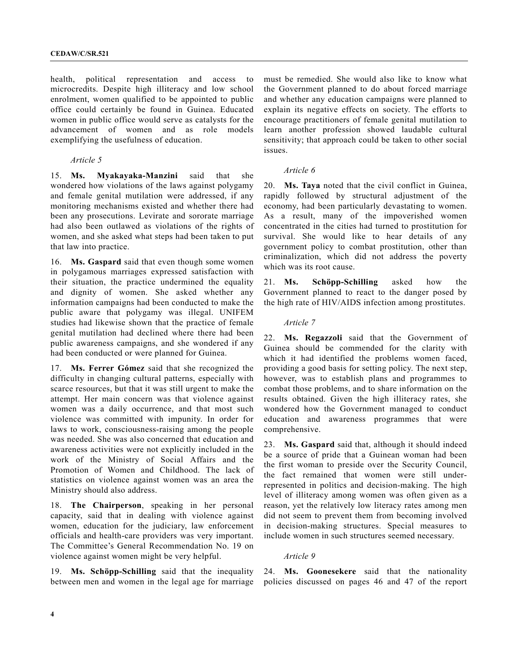health, political representation and access to microcredits. Despite high illiteracy and low school enrolment, women qualified to be appointed to public office could certainly be found in Guinea. Educated women in public office would serve as catalysts for the advancement of women and as role models exemplifying the usefulness of education.

#### *Article 5*

15. **Ms. Myakayaka-Manzini** said that she wondered how violations of the laws against polygamy and female genital mutilation were addressed, if any monitoring mechanisms existed and whether there had been any prosecutions. Levirate and sororate marriage had also been outlawed as violations of the rights of women, and she asked what steps had been taken to put that law into practice.

16. **Ms. Gaspard** said that even though some women in polygamous marriages expressed satisfaction with their situation, the practice undermined the equality and dignity of women. She asked whether any information campaigns had been conducted to make the public aware that polygamy was illegal. UNIFEM studies had likewise shown that the practice of female genital mutilation had declined where there had been public awareness campaigns, and she wondered if any had been conducted or were planned for Guinea.

17. **Ms. Ferrer Gómez** said that she recognized the difficulty in changing cultural patterns, especially with scarce resources, but that it was still urgent to make the attempt. Her main concern was that violence against women was a daily occurrence, and that most such violence was committed with impunity. In order for laws to work, consciousness-raising among the people was needed. She was also concerned that education and awareness activities were not explicitly included in the work of the Ministry of Social Affairs and the Promotion of Women and Childhood. The lack of statistics on violence against women was an area the Ministry should also address.

18. **The Chairperson**, speaking in her personal capacity, said that in dealing with violence against women, education for the judiciary, law enforcement officials and health-care providers was very important. The Committee's General Recommendation No. 19 on violence against women might be very helpful.

19. **Ms. Schöpp-Schilling** said that the inequality between men and women in the legal age for marriage must be remedied. She would also like to know what the Government planned to do about forced marriage and whether any education campaigns were planned to explain its negative effects on society. The efforts to encourage practitioners of female genital mutilation to learn another profession showed laudable cultural sensitivity; that approach could be taken to other social issues.

#### *Article 6*

20. **Ms. Taya** noted that the civil conflict in Guinea, rapidly followed by structural adjustment of the economy, had been particularly devastating to women. As a result, many of the impoverished women concentrated in the cities had turned to prostitution for survival. She would like to hear details of any government policy to combat prostitution, other than criminalization, which did not address the poverty which was its root cause.

21. **Ms. Schöpp-Schilling** asked how the Government planned to react to the danger posed by the high rate of HIV/AIDS infection among prostitutes.

#### *Article 7*

22. **Ms. Regazzoli** said that the Government of Guinea should be commended for the clarity with which it had identified the problems women faced, providing a good basis for setting policy. The next step, however, was to establish plans and programmes to combat those problems, and to share information on the results obtained. Given the high illiteracy rates, she wondered how the Government managed to conduct education and awareness programmes that were comprehensive.

23. **Ms. Gaspard** said that, although it should indeed be a source of pride that a Guinean woman had been the first woman to preside over the Security Council, the fact remained that women were still underrepresented in politics and decision-making. The high level of illiteracy among women was often given as a reason, yet the relatively low literacy rates among men did not seem to prevent them from becoming involved in decision-making structures. Special measures to include women in such structures seemed necessary.

#### *Article 9*

24. **Ms. Goonesekere** said that the nationality policies discussed on pages 46 and 47 of the report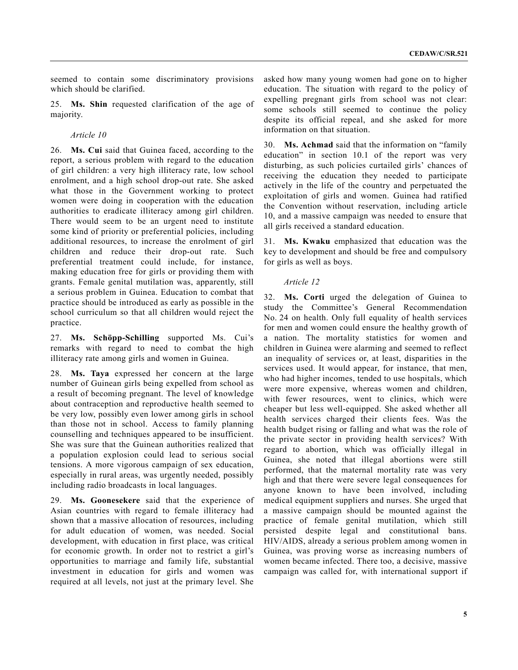seemed to contain some discriminatory provisions which should be clarified.

25. **Ms. Shin** requested clarification of the age of majority.

#### *Article 10*

26. **Ms. Cui** said that Guinea faced, according to the report, a serious problem with regard to the education of girl children: a very high illiteracy rate, low school enrolment, and a high school drop-out rate. She asked what those in the Government working to protect women were doing in cooperation with the education authorities to eradicate illiteracy among girl children. There would seem to be an urgent need to institute some kind of priority or preferential policies, including additional resources, to increase the enrolment of girl children and reduce their drop-out rate. Such preferential treatment could include, for instance, making education free for girls or providing them with grants. Female genital mutilation was, apparently, still a serious problem in Guinea. Education to combat that practice should be introduced as early as possible in the school curriculum so that all children would reject the practice.

27. **Ms. Schöpp-Schilling** supported Ms. Cui's remarks with regard to need to combat the high illiteracy rate among girls and women in Guinea.

28. **Ms. Taya** expressed her concern at the large number of Guinean girls being expelled from school as a result of becoming pregnant. The level of knowledge about contraception and reproductive health seemed to be very low, possibly even lower among girls in school than those not in school. Access to family planning counselling and techniques appeared to be insufficient. She was sure that the Guinean authorities realized that a population explosion could lead to serious social tensions. A more vigorous campaign of sex education, especially in rural areas, was urgently needed, possibly including radio broadcasts in local languages.

29. **Ms. Goonesekere** said that the experience of Asian countries with regard to female illiteracy had shown that a massive allocation of resources, including for adult education of women, was needed. Social development, with education in first place, was critical for economic growth. In order not to restrict a girl's opportunities to marriage and family life, substantial investment in education for girls and women was required at all levels, not just at the primary level. She

asked how many young women had gone on to higher education. The situation with regard to the policy of expelling pregnant girls from school was not clear: some schools still seemed to continue the policy despite its official repeal, and she asked for more information on that situation.

30. **Ms. Achmad** said that the information on "family education" in section 10.1 of the report was very disturbing, as such policies curtailed girls' chances of receiving the education they needed to participate actively in the life of the country and perpetuated the exploitation of girls and women. Guinea had ratified the Convention without reservation, including article 10, and a massive campaign was needed to ensure that all girls received a standard education.

31. **Ms. Kwaku** emphasized that education was the key to development and should be free and compulsory for girls as well as boys.

#### *Article 12*

32. **Ms. Corti** urged the delegation of Guinea to study the Committee's General Recommendation No. 24 on health. Only full equality of health services for men and women could ensure the healthy growth of a nation. The mortality statistics for women and children in Guinea were alarming and seemed to reflect an inequality of services or, at least, disparities in the services used. It would appear, for instance, that men, who had higher incomes, tended to use hospitals, which were more expensive, whereas women and children, with fewer resources, went to clinics, which were cheaper but less well-equipped. She asked whether all health services charged their clients fees. Was the health budget rising or falling and what was the role of the private sector in providing health services? With regard to abortion, which was officially illegal in Guinea, she noted that illegal abortions were still performed, that the maternal mortality rate was very high and that there were severe legal consequences for anyone known to have been involved, including medical equipment suppliers and nurses. She urged that a massive campaign should be mounted against the practice of female genital mutilation, which still persisted despite legal and constitutional bans. HIV/AIDS, already a serious problem among women in Guinea, was proving worse as increasing numbers of women became infected. There too, a decisive, massive campaign was called for, with international support if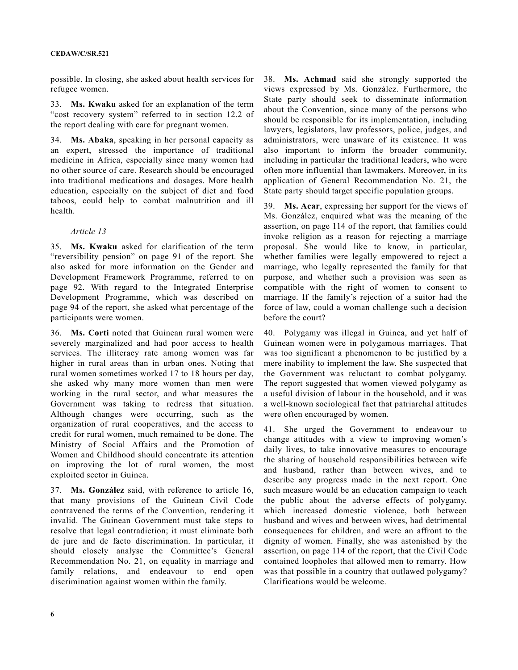possible. In closing, she asked about health services for refugee women.

33. **Ms. Kwaku** asked for an explanation of the term "cost recovery system" referred to in section 12.2 of the report dealing with care for pregnant women.

34. **Ms. Abaka**, speaking in her personal capacity as an expert, stressed the importance of traditional medicine in Africa, especially since many women had no other source of care. Research should be encouraged into traditional medications and dosages. More health education, especially on the subject of diet and food taboos, could help to combat malnutrition and ill health.

#### *Article 13*

35. **Ms. Kwaku** asked for clarification of the term "reversibility pension" on page 91 of the report. She also asked for more information on the Gender and Development Framework Programme, referred to on page 92. With regard to the Integrated Enterprise Development Programme, which was described on page 94 of the report, she asked what percentage of the participants were women.

36. **Ms. Corti** noted that Guinean rural women were severely marginalized and had poor access to health services. The illiteracy rate among women was far higher in rural areas than in urban ones. Noting that rural women sometimes worked 17 to 18 hours per day, she asked why many more women than men were working in the rural sector, and what measures the Government was taking to redress that situation. Although changes were occurring, such as the organization of rural cooperatives, and the access to credit for rural women, much remained to be done. The Ministry of Social Affairs and the Promotion of Women and Childhood should concentrate its attention on improving the lot of rural women, the most exploited sector in Guinea.

37. **Ms. González** said, with reference to article 16, that many provisions of the Guinean Civil Code contravened the terms of the Convention, rendering it invalid. The Guinean Government must take steps to resolve that legal contradiction; it must eliminate both de jure and de facto discrimination. In particular, it should closely analyse the Committee's General Recommendation No. 21, on equality in marriage and family relations, and endeavour to end open discrimination against women within the family.

38. **Ms. Achmad** said she strongly supported the views expressed by Ms. González. Furthermore, the State party should seek to disseminate information about the Convention, since many of the persons who should be responsible for its implementation, including lawyers, legislators, law professors, police, judges, and administrators, were unaware of its existence. It was also important to inform the broader community, including in particular the traditional leaders, who were often more influential than lawmakers. Moreover, in its application of General Recommendation No. 21, the State party should target specific population groups.

39. **Ms. Acar**, expressing her support for the views of Ms. González, enquired what was the meaning of the assertion, on page 114 of the report, that families could invoke religion as a reason for rejecting a marriage proposal. She would like to know, in particular, whether families were legally empowered to reject a marriage, who legally represented the family for that purpose, and whether such a provision was seen as compatible with the right of women to consent to marriage. If the family's rejection of a suitor had the force of law, could a woman challenge such a decision before the court?

40. Polygamy was illegal in Guinea, and yet half of Guinean women were in polygamous marriages. That was too significant a phenomenon to be justified by a mere inability to implement the law. She suspected that the Government was reluctant to combat polygamy. The report suggested that women viewed polygamy as a useful division of labour in the household, and it was a well-known sociological fact that patriarchal attitudes were often encouraged by women.

41. She urged the Government to endeavour to change attitudes with a view to improving women's daily lives, to take innovative measures to encourage the sharing of household responsibilities between wife and husband, rather than between wives, and to describe any progress made in the next report. One such measure would be an education campaign to teach the public about the adverse effects of polygamy, which increased domestic violence, both between husband and wives and between wives, had detrimental consequences for children, and were an affront to the dignity of women. Finally, she was astonished by the assertion, on page 114 of the report, that the Civil Code contained loopholes that allowed men to remarry. How was that possible in a country that outlawed polygamy? Clarifications would be welcome.